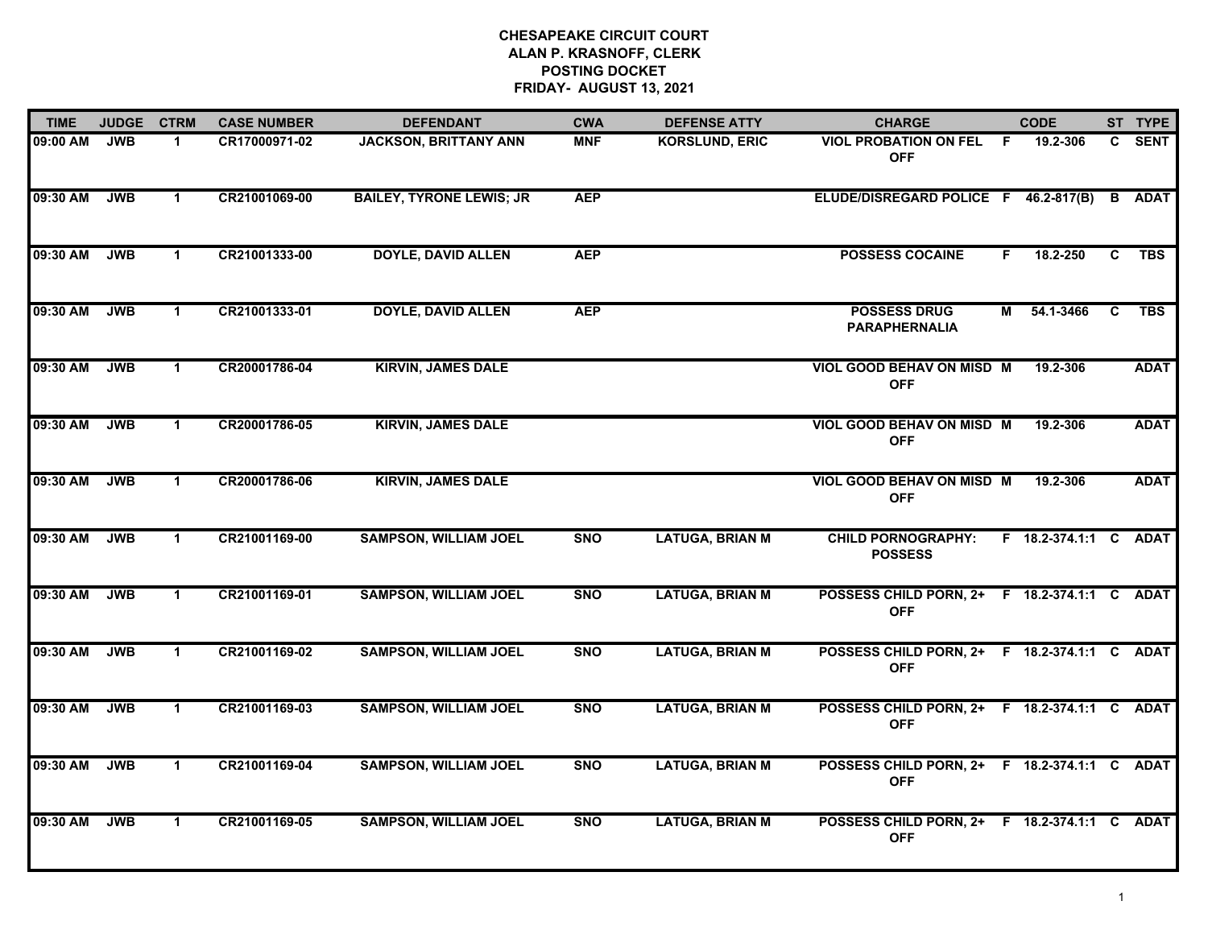| <b>TIME</b> | <b>JUDGE</b> | <b>CTRM</b>          | <b>CASE NUMBER</b> | <b>DEFENDANT</b>                | <b>CWA</b> | <b>DEFENSE ATTY</b>    | <b>CHARGE</b>                                              |    | <b>CODE</b>           |    | ST TYPE       |
|-------------|--------------|----------------------|--------------------|---------------------------------|------------|------------------------|------------------------------------------------------------|----|-----------------------|----|---------------|
| 09:00 AM    | <b>JWB</b>   | -1                   | CR17000971-02      | <b>JACKSON, BRITTANY ANN</b>    | <b>MNF</b> | <b>KORSLUND, ERIC</b>  | <b>VIOL PROBATION ON FEL F</b><br><b>OFF</b>               |    | 19.2-306              | C. | <b>SENT</b>   |
| 09:30 AM    | <b>JWB</b>   | $\mathbf{1}$         | CR21001069-00      | <b>BAILEY, TYRONE LEWIS; JR</b> | <b>AEP</b> |                        | ELUDE/DISREGARD POLICE F 46.2-817(B)                       |    |                       |    | <b>B</b> ADAT |
| 09:30 AM    | <b>JWB</b>   | $\blacktriangleleft$ | CR21001333-00      | <b>DOYLE, DAVID ALLEN</b>       | <b>AEP</b> |                        | <b>POSSESS COCAINE</b>                                     | F. | 18.2-250              | C  | <b>TBS</b>    |
| 09:30 AM    | <b>JWB</b>   | -1                   | CR21001333-01      | <b>DOYLE, DAVID ALLEN</b>       | <b>AEP</b> |                        | <b>POSSESS DRUG</b><br><b>PARAPHERNALIA</b>                | М  | 54.1-3466             | C  | <b>TBS</b>    |
| 09:30 AM    | <b>JWB</b>   | $\mathbf 1$          | CR20001786-04      | <b>KIRVIN, JAMES DALE</b>       |            |                        | VIOL GOOD BEHAV ON MISD M<br><b>OFF</b>                    |    | 19.2-306              |    | <b>ADAT</b>   |
| 09:30 AM    | <b>JWB</b>   | $\mathbf{1}$         | CR20001786-05      | <b>KIRVIN, JAMES DALE</b>       |            |                        | VIOL GOOD BEHAV ON MISD M<br><b>OFF</b>                    |    | 19.2-306              |    | <b>ADAT</b>   |
| 09:30 AM    | <b>JWB</b>   | $\mathbf{1}$         | CR20001786-06      | <b>KIRVIN, JAMES DALE</b>       |            |                        | VIOL GOOD BEHAV ON MISD M<br><b>OFF</b>                    |    | 19.2-306              |    | <b>ADAT</b>   |
| 09:30 AM    | <b>JWB</b>   | $\mathbf 1$          | CR21001169-00      | <b>SAMPSON, WILLIAM JOEL</b>    | <b>SNO</b> | <b>LATUGA, BRIAN M</b> | <b>CHILD PORNOGRAPHY:</b><br><b>POSSESS</b>                |    | F 18.2-374.1:1 C ADAT |    |               |
| 09:30 AM    | <b>JWB</b>   | $\blacktriangleleft$ | CR21001169-01      | <b>SAMPSON, WILLIAM JOEL</b>    | <b>SNO</b> | <b>LATUGA, BRIAN M</b> | POSSESS CHILD PORN, 2+ F 18.2-374.1:1 C ADAT<br><b>OFF</b> |    |                       |    |               |
| 09:30 AM    | <b>JWB</b>   | $\mathbf{1}$         | CR21001169-02      | <b>SAMPSON, WILLIAM JOEL</b>    | <b>SNO</b> | <b>LATUGA, BRIAN M</b> | POSSESS CHILD PORN, 2+ F 18.2-374.1:1 C ADAT<br><b>OFF</b> |    |                       |    |               |
| 09:30 AM    | <b>JWB</b>   | $\mathbf{1}$         | CR21001169-03      | <b>SAMPSON, WILLIAM JOEL</b>    | <b>SNO</b> | <b>LATUGA, BRIAN M</b> | POSSESS CHILD PORN, 2+ F 18.2-374.1:1 C ADAT<br><b>OFF</b> |    |                       |    |               |
| 09:30 AM    | <b>JWB</b>   | $\mathbf{1}$         | CR21001169-04      | <b>SAMPSON, WILLIAM JOEL</b>    | <b>SNO</b> | <b>LATUGA, BRIAN M</b> | POSSESS CHILD PORN, 2+ F 18.2-374.1:1 C ADAT<br><b>OFF</b> |    |                       |    |               |
| 09:30 AM    | <b>JWB</b>   | $\mathbf 1$          | CR21001169-05      | <b>SAMPSON, WILLIAM JOEL</b>    | <b>SNO</b> | <b>LATUGA, BRIAN M</b> | POSSESS CHILD PORN, 2+ F 18.2-374.1:1 C ADAT<br><b>OFF</b> |    |                       |    |               |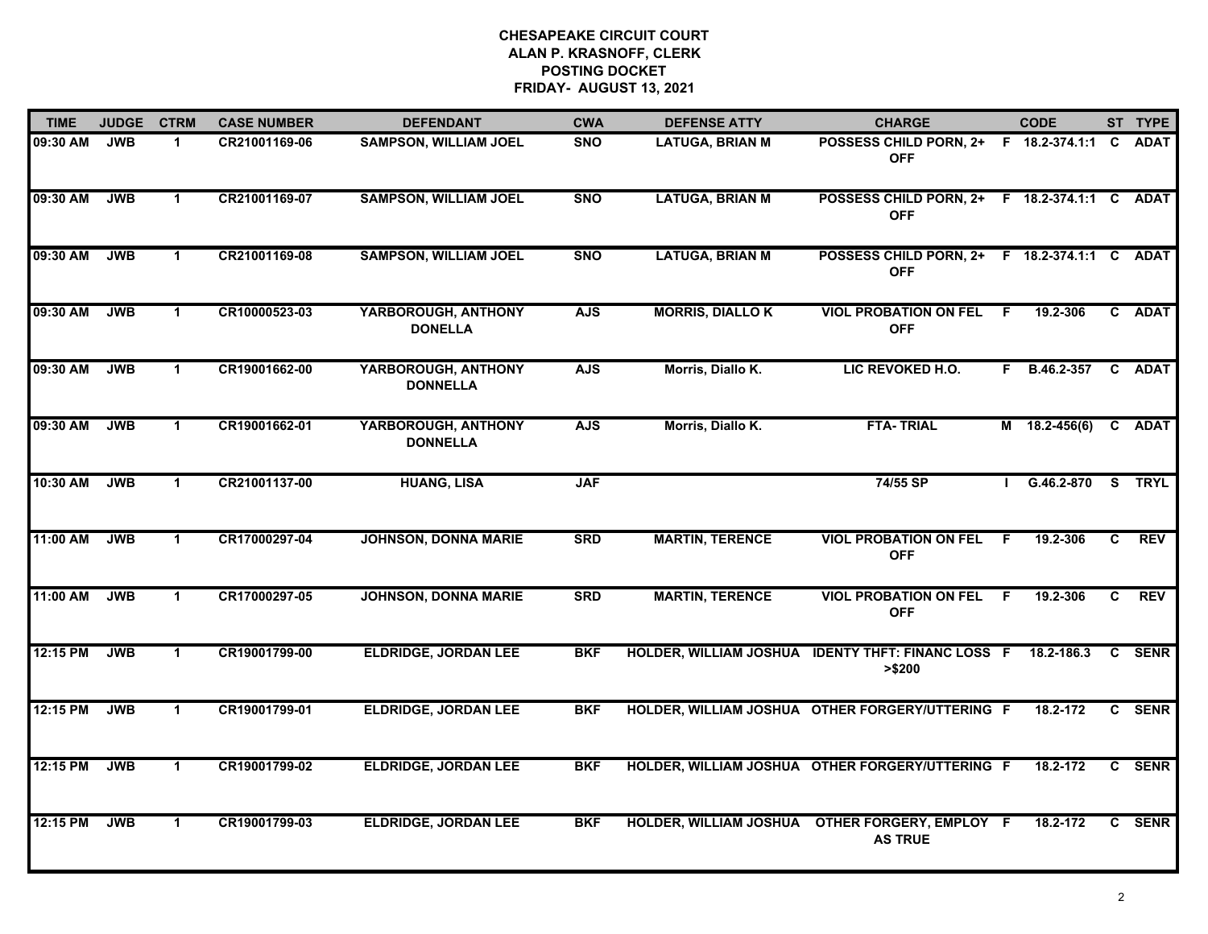| <b>TIME</b> | <b>JUDGE</b> | <b>CTRM</b>  | <b>CASE NUMBER</b> | <b>DEFENDANT</b>                       | <b>CWA</b> | <b>DEFENSE ATTY</b>     | <b>CHARGE</b>                                                    |     | <b>CODE</b>       |    | ST TYPE    |
|-------------|--------------|--------------|--------------------|----------------------------------------|------------|-------------------------|------------------------------------------------------------------|-----|-------------------|----|------------|
| 09:30 AM    | <b>JWB</b>   | 1.           | CR21001169-06      | <b>SAMPSON, WILLIAM JOEL</b>           | <b>SNO</b> | <b>LATUGA, BRIAN M</b>  | POSSESS CHILD PORN, 2+ F 18.2-374.1:1<br><b>OFF</b>              |     |                   |    | C ADAT     |
| 09:30 AM    | <b>JWB</b>   | $\mathbf{1}$ | CR21001169-07      | <b>SAMPSON, WILLIAM JOEL</b>           | <b>SNO</b> | <b>LATUGA, BRIAN M</b>  | POSSESS CHILD PORN, 2+ F 18.2-374.1:1 C ADAT<br><b>OFF</b>       |     |                   |    |            |
| 09:30 AM    | <b>JWB</b>   | $\mathbf 1$  | CR21001169-08      | <b>SAMPSON, WILLIAM JOEL</b>           | <b>SNO</b> | <b>LATUGA, BRIAN M</b>  | POSSESS CHILD PORN, 2+ F 18.2-374.1:1 C ADAT<br><b>OFF</b>       |     |                   |    |            |
| 09:30 AM    | <b>JWB</b>   | 1            | CR10000523-03      | YARBOROUGH, ANTHONY<br><b>DONELLA</b>  | <b>AJS</b> | <b>MORRIS, DIALLO K</b> | <b>VIOL PROBATION ON FEL</b><br><b>OFF</b>                       | - F | 19.2-306          |    | C ADAT     |
| 09:30 AM    | <b>JWB</b>   | $\mathbf 1$  | CR19001662-00      | YARBOROUGH, ANTHONY<br><b>DONNELLA</b> | <b>AJS</b> | Morris, Diallo K.       | LIC REVOKED H.O.                                                 | F.  | B.46.2-357        |    | C ADAT     |
| 09:30 AM    | <b>JWB</b>   | $\mathbf 1$  | CR19001662-01      | YARBOROUGH, ANTHONY<br><b>DONNELLA</b> | <b>AJS</b> | Morris, Diallo K.       | <b>FTA-TRIAL</b>                                                 |     | M 18.2-456(6)     |    | C ADAT     |
| 10:30 AM    | <b>JWB</b>   | $\mathbf 1$  | CR21001137-00      | <b>HUANG, LISA</b>                     | <b>JAF</b> |                         | 74/55 SP                                                         |     | G.46.2-870 S TRYL |    |            |
| 11:00 AM    | <b>JWB</b>   | $\mathbf 1$  | CR17000297-04      | <b>JOHNSON, DONNA MARIE</b>            | <b>SRD</b> | <b>MARTIN, TERENCE</b>  | <b>VIOL PROBATION ON FEL</b><br><b>OFF</b>                       | F.  | 19.2-306          | C. | <b>REV</b> |
| 11:00 AM    | <b>JWB</b>   | $\mathbf{1}$ | CR17000297-05      | <b>JOHNSON, DONNA MARIE</b>            | <b>SRD</b> | <b>MARTIN, TERENCE</b>  | <b>VIOL PROBATION ON FEL</b><br><b>OFF</b>                       | -F  | 19.2-306          | C  | <b>REV</b> |
| 12:15 PM    | <b>JWB</b>   | $\mathbf 1$  | CR19001799-00      | <b>ELDRIDGE, JORDAN LEE</b>            | <b>BKF</b> |                         | HOLDER, WILLIAM JOSHUA IDENTY THFT: FINANC LOSS F<br>> \$200     |     | 18.2-186.3        |    | C SENR     |
| 12:15 PM    | <b>JWB</b>   | $\mathbf{1}$ | CR19001799-01      | <b>ELDRIDGE, JORDAN LEE</b>            | <b>BKF</b> |                         | HOLDER, WILLIAM JOSHUA OTHER FORGERY/UTTERING F                  |     | 18.2-172          |    | C SENR     |
| 12:15 PM    | <b>JWB</b>   | $\mathbf{1}$ | CR19001799-02      | <b>ELDRIDGE, JORDAN LEE</b>            | <b>BKF</b> |                         | HOLDER, WILLIAM JOSHUA OTHER FORGERY/UTTERING F                  |     | 18.2-172          |    | C SENR     |
| 12:15 PM    | <b>JWB</b>   | $\mathbf 1$  | CR19001799-03      | <b>ELDRIDGE, JORDAN LEE</b>            | <b>BKF</b> |                         | HOLDER, WILLIAM JOSHUA OTHER FORGERY, EMPLOY F<br><b>AS TRUE</b> |     | 18.2-172          |    | C SENR     |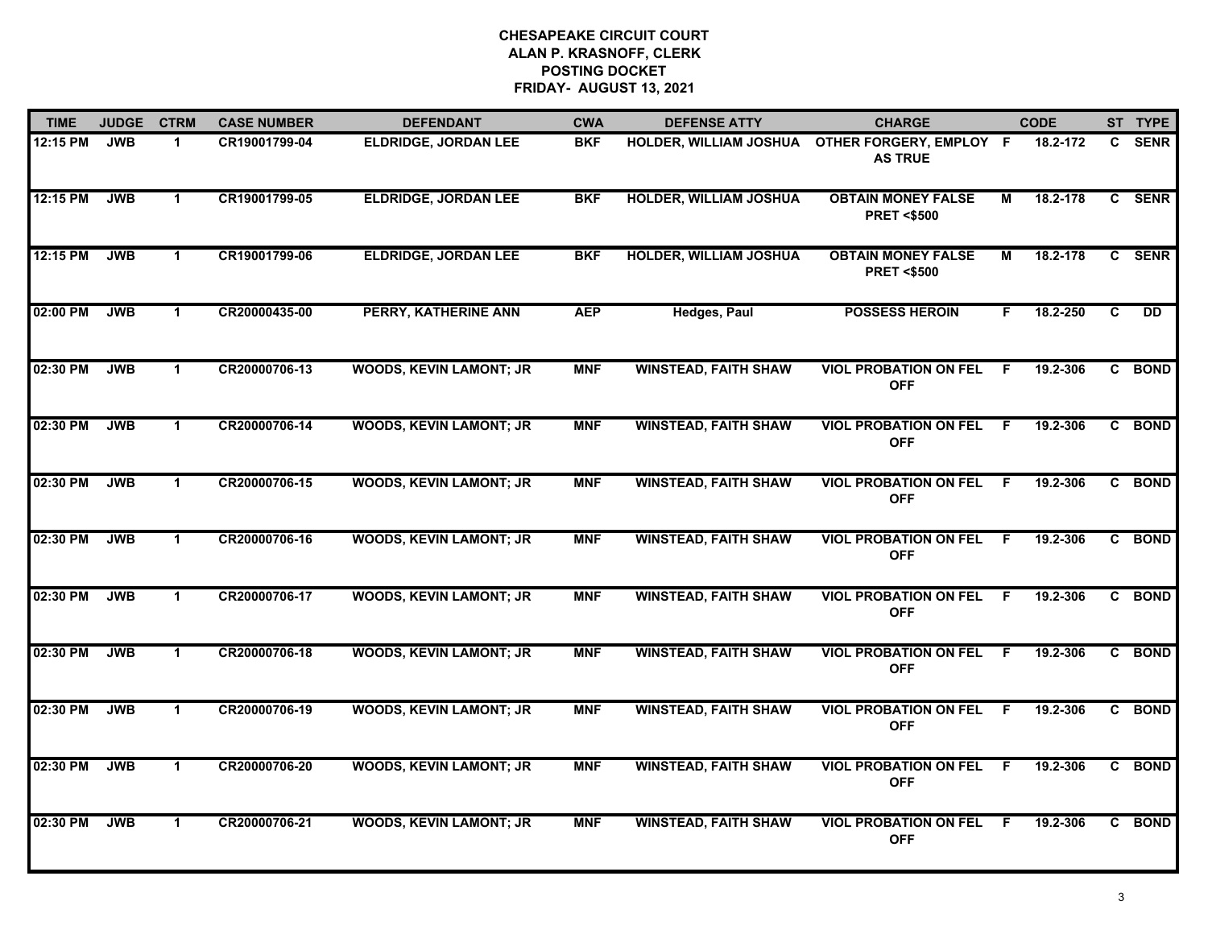| <b>TIME</b> | <b>JUDGE</b> | <b>CTRM</b>          | <b>CASE NUMBER</b> | <b>DEFENDANT</b>               | <b>CWA</b> | <b>DEFENSE ATTY</b>           | <b>CHARGE</b>                                      |     | <b>CODE</b> |   | ST TYPE   |
|-------------|--------------|----------------------|--------------------|--------------------------------|------------|-------------------------------|----------------------------------------------------|-----|-------------|---|-----------|
| 12:15 PM    | <b>JWB</b>   | $\blacktriangleleft$ | CR19001799-04      | <b>ELDRIDGE, JORDAN LEE</b>    | <b>BKF</b> | HOLDER, WILLIAM JOSHUA        | OTHER FORGERY, EMPLOY F<br><b>AS TRUE</b>          |     | 18.2-172    |   | C SENR    |
| 12:15 PM    | <b>JWB</b>   | $\blacktriangleleft$ | CR19001799-05      | <b>ELDRIDGE, JORDAN LEE</b>    | <b>BKF</b> | <b>HOLDER, WILLIAM JOSHUA</b> | <b>OBTAIN MONEY FALSE</b><br><b>PRET &lt;\$500</b> | м   | 18.2-178    |   | C SENR    |
| 12:15 PM    | <b>JWB</b>   | $\mathbf 1$          | CR19001799-06      | <b>ELDRIDGE, JORDAN LEE</b>    | <b>BKF</b> | <b>HOLDER, WILLIAM JOSHUA</b> | <b>OBTAIN MONEY FALSE</b><br><b>PRET &lt;\$500</b> | м   | 18.2-178    |   | C SENR    |
| 02:00 PM    | <b>JWB</b>   | $\blacktriangleleft$ | CR20000435-00      | PERRY, KATHERINE ANN           | <b>AEP</b> | <b>Hedges, Paul</b>           | <b>POSSESS HEROIN</b>                              | F.  | 18.2-250    | C | <b>DD</b> |
| 02:30 PM    | <b>JWB</b>   | $\mathbf{1}$         | CR20000706-13      | <b>WOODS, KEVIN LAMONT; JR</b> | <b>MNF</b> | <b>WINSTEAD, FAITH SHAW</b>   | <b>VIOL PROBATION ON FEL</b><br><b>OFF</b>         | F.  | 19.2-306    |   | C BOND    |
| 02:30 PM    | <b>JWB</b>   | $\mathbf 1$          | CR20000706-14      | <b>WOODS, KEVIN LAMONT; JR</b> | <b>MNF</b> | <b>WINSTEAD, FAITH SHAW</b>   | <b>VIOL PROBATION ON FEL F</b><br><b>OFF</b>       |     | 19.2-306    |   | C BOND    |
| 02:30 PM    | <b>JWB</b>   | $\blacktriangleleft$ | CR20000706-15      | <b>WOODS, KEVIN LAMONT; JR</b> | <b>MNF</b> | <b>WINSTEAD, FAITH SHAW</b>   | <b>VIOL PROBATION ON FEL</b><br><b>OFF</b>         | -F. | 19.2-306    |   | C BOND    |
| 02:30 PM    | <b>JWB</b>   | $\blacktriangleleft$ | CR20000706-16      | <b>WOODS, KEVIN LAMONT; JR</b> | <b>MNF</b> | <b>WINSTEAD, FAITH SHAW</b>   | <b>VIOL PROBATION ON FEL</b><br><b>OFF</b>         | E   | 19.2-306    |   | C BOND    |
| 02:30 PM    | <b>JWB</b>   | -1                   | CR20000706-17      | <b>WOODS, KEVIN LAMONT; JR</b> | <b>MNF</b> | <b>WINSTEAD, FAITH SHAW</b>   | <b>VIOL PROBATION ON FEL</b><br><b>OFF</b>         | -F  | 19.2-306    |   | C BOND    |
| 02:30 PM    | <b>JWB</b>   | $\blacktriangleleft$ | CR20000706-18      | <b>WOODS, KEVIN LAMONT; JR</b> | <b>MNF</b> | <b>WINSTEAD, FAITH SHAW</b>   | <b>VIOL PROBATION ON FEL</b><br><b>OFF</b>         | E   | 19.2-306    |   | C BOND    |
| 02:30 PM    | <b>JWB</b>   | $\mathbf 1$          | CR20000706-19      | <b>WOODS, KEVIN LAMONT; JR</b> | <b>MNF</b> | <b>WINSTEAD, FAITH SHAW</b>   | <b>VIOL PROBATION ON FEL</b><br><b>OFF</b>         | -F  | 19.2-306    |   | C BOND    |
| 02:30 PM    | <b>JWB</b>   | $\mathbf 1$          | CR20000706-20      | <b>WOODS, KEVIN LAMONT; JR</b> | <b>MNF</b> | <b>WINSTEAD, FAITH SHAW</b>   | <b>VIOL PROBATION ON FEL</b><br><b>OFF</b>         | F.  | 19.2-306    |   | C BOND    |
| 02:30 PM    | <b>JWB</b>   | $\mathbf 1$          | CR20000706-21      | <b>WOODS, KEVIN LAMONT; JR</b> | <b>MNF</b> | <b>WINSTEAD, FAITH SHAW</b>   | <b>VIOL PROBATION ON FEL</b><br><b>OFF</b>         | F.  | 19.2-306    |   | C BOND    |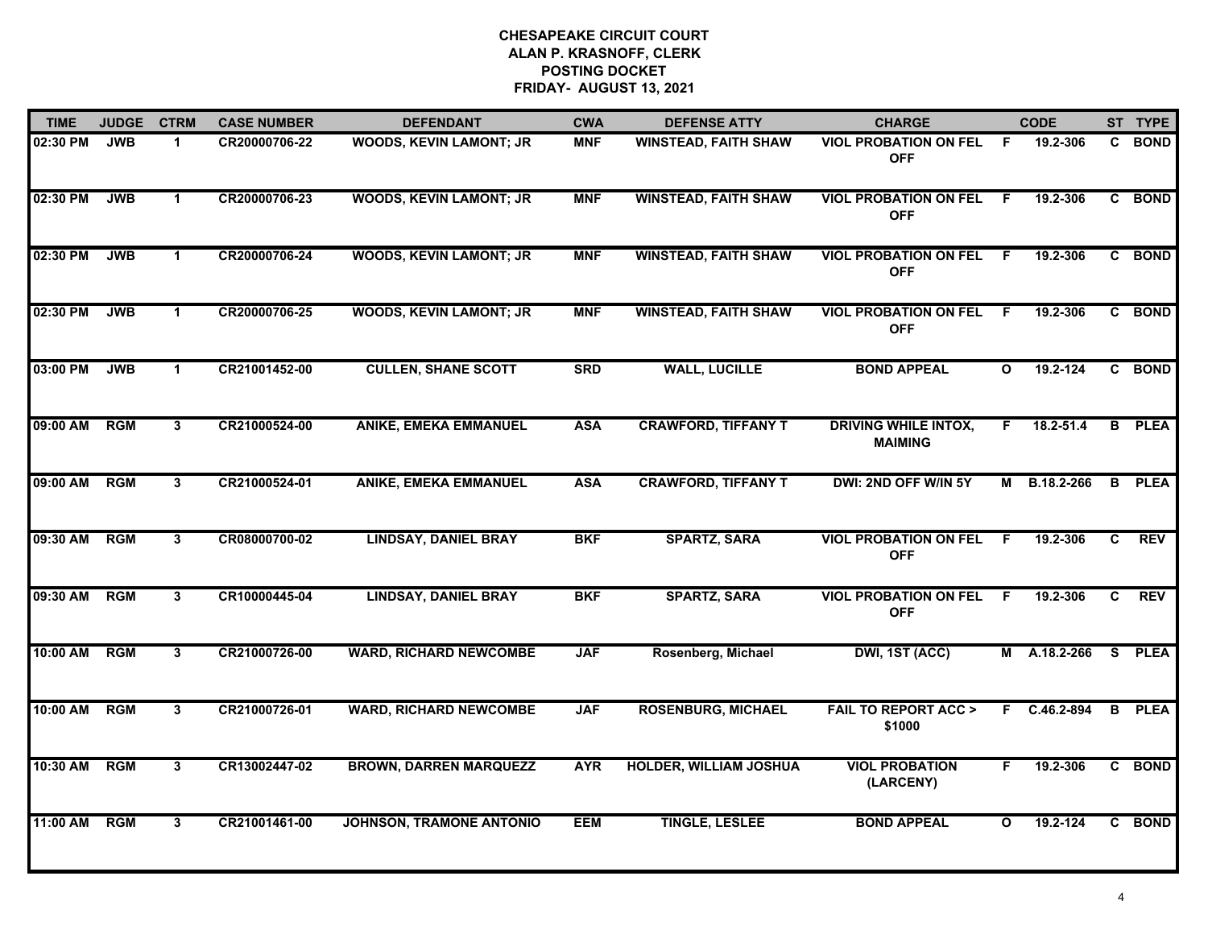| <b>TIME</b> | <b>JUDGE</b> | <b>CTRM</b>          | <b>CASE NUMBER</b> | <b>DEFENDANT</b>                | <b>CWA</b> | <b>DEFENSE ATTY</b>           | <b>CHARGE</b>                                 |              | <b>CODE</b>    |                | ST TYPE       |
|-------------|--------------|----------------------|--------------------|---------------------------------|------------|-------------------------------|-----------------------------------------------|--------------|----------------|----------------|---------------|
| 02:30 PM    | <b>JWB</b>   | $\mathbf{1}$         | CR20000706-22      | WOODS, KEVIN LAMONT; JR         | <b>MNF</b> | <b>WINSTEAD, FAITH SHAW</b>   | <b>VIOL PROBATION ON FEL</b><br><b>OFF</b>    | -F           | 19.2-306       |                | C BOND        |
| 02:30 PM    | <b>JWB</b>   | $\blacktriangleleft$ | CR20000706-23      | <b>WOODS, KEVIN LAMONT; JR</b>  | <b>MNF</b> | <b>WINSTEAD, FAITH SHAW</b>   | <b>VIOL PROBATION ON FEL</b><br><b>OFF</b>    | -F           | 19.2-306       |                | C BOND        |
| 02:30 PM    | <b>JWB</b>   | $\blacktriangleleft$ | CR20000706-24      | <b>WOODS, KEVIN LAMONT; JR</b>  | <b>MNF</b> | <b>WINSTEAD, FAITH SHAW</b>   | <b>VIOL PROBATION ON FEL</b><br><b>OFF</b>    | -F           | 19.2-306       |                | C BOND        |
| 02:30 PM    | <b>JWB</b>   | $\blacktriangleleft$ | CR20000706-25      | <b>WOODS, KEVIN LAMONT; JR</b>  | <b>MNF</b> | <b>WINSTEAD, FAITH SHAW</b>   | <b>VIOL PROBATION ON FEL</b><br><b>OFF</b>    | -F           | 19.2-306       |                | C BOND        |
| 03:00 PM    | <b>JWB</b>   | $\mathbf{1}$         | CR21001452-00      | <b>CULLEN, SHANE SCOTT</b>      | <b>SRD</b> | <b>WALL, LUCILLE</b>          | <b>BOND APPEAL</b>                            | $\mathbf{o}$ | 19.2-124       |                | C BOND        |
| 09:00 AM    | <b>RGM</b>   | 3                    | CR21000524-00      | <b>ANIKE, EMEKA EMMANUEL</b>    | <b>ASA</b> | <b>CRAWFORD, TIFFANY T</b>    | <b>DRIVING WHILE INTOX,</b><br><b>MAIMING</b> | F.           | $18.2 - 51.4$  |                | <b>B</b> PLEA |
| 09:00 AM    | RGM          | 3                    | CR21000524-01      | <b>ANIKE, EMEKA EMMANUEL</b>    | <b>ASA</b> | <b>CRAWFORD, TIFFANY T</b>    | DWI: 2ND OFF W/IN 5Y                          | М            | B.18.2-266     | $\overline{B}$ | <b>PLEA</b>   |
| 09:30 AM    | RGM          | $\mathbf{3}$         | CR08000700-02      | <b>LINDSAY, DANIEL BRAY</b>     | <b>BKF</b> | <b>SPARTZ, SARA</b>           | <b>VIOL PROBATION ON FEL</b><br><b>OFF</b>    | F            | 19.2-306       | C.             | <b>REV</b>    |
| 09:30 AM    | <b>RGM</b>   | $\mathbf{3}$         | CR10000445-04      | <b>LINDSAY, DANIEL BRAY</b>     | <b>BKF</b> | <b>SPARTZ, SARA</b>           | <b>VIOL PROBATION ON FEL</b><br><b>OFF</b>    | -F           | 19.2-306       | C.             | <b>REV</b>    |
| 10:00 AM    | <b>RGM</b>   | $\mathbf{3}$         | CR21000726-00      | <b>WARD, RICHARD NEWCOMBE</b>   | <b>JAF</b> | Rosenberg, Michael            | DWI, 1ST (ACC)                                | М            | A.18.2-266     | S.             | <b>PLEA</b>   |
| 10:00 AM    | RGM          | 3 <sup>1</sup>       | CR21000726-01      | <b>WARD, RICHARD NEWCOMBE</b>   | <b>JAF</b> | <b>ROSENBURG, MICHAEL</b>     | <b>FAIL TO REPORT ACC &gt;</b><br>\$1000      | F.           | $C.46.2 - 894$ | B              | <b>PLEA</b>   |
| 10:30 AM    | <b>RGM</b>   | 3                    | CR13002447-02      | <b>BROWN, DARREN MARQUEZZ</b>   | <b>AYR</b> | <b>HOLDER, WILLIAM JOSHUA</b> | <b>VIOL PROBATION</b><br>(LARCENY)            | F.           | 19.2-306       |                | C BOND        |
| 11:00 AM    | <b>RGM</b>   | 3                    | CR21001461-00      | <b>JOHNSON, TRAMONE ANTONIO</b> | <b>EEM</b> | <b>TINGLE, LESLEE</b>         | <b>BOND APPEAL</b>                            | $\mathbf{o}$ | 19.2-124       |                | C BOND        |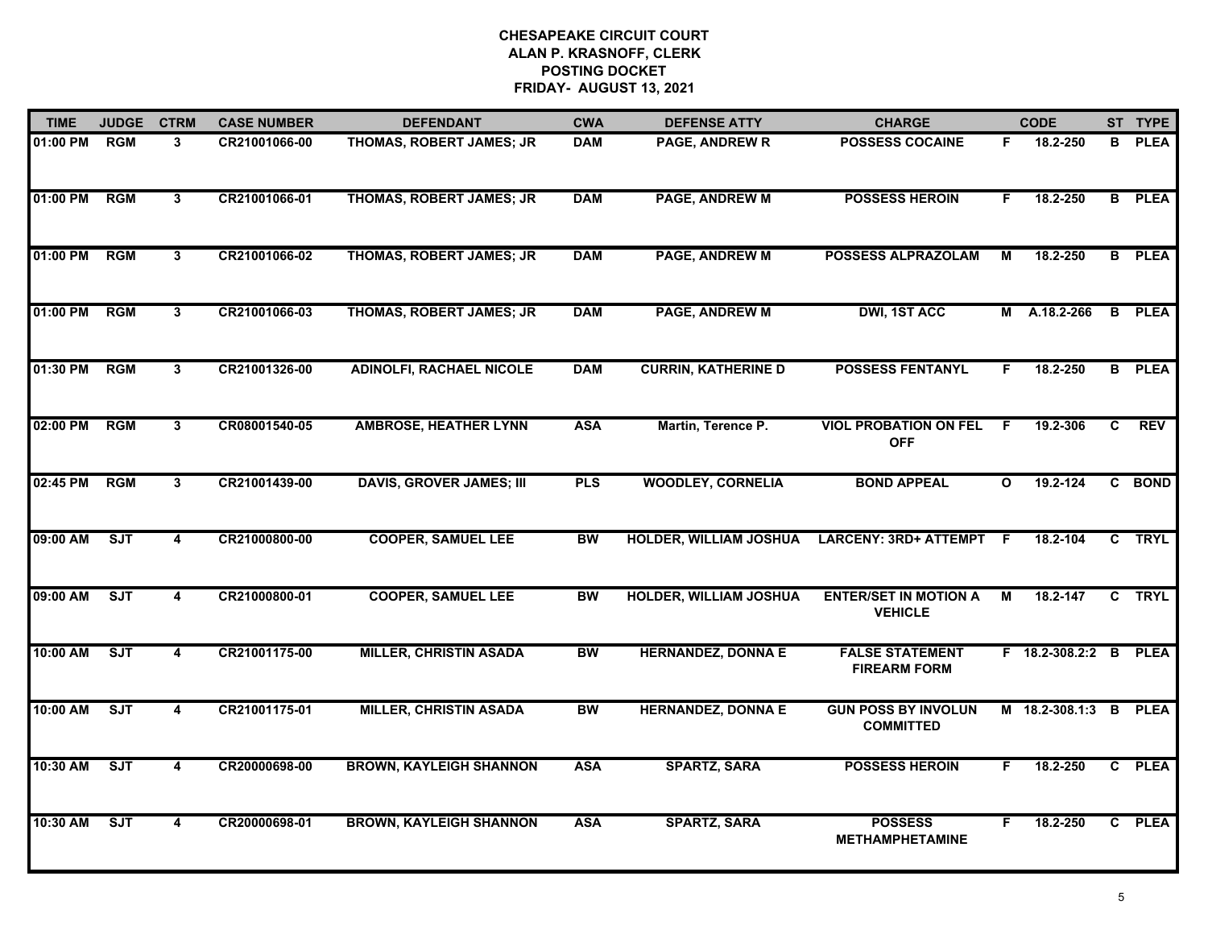| <b>TIME</b> | <b>JUDGE</b> | <b>CTRM</b>             | <b>CASE NUMBER</b> | <b>DEFENDANT</b>                | <b>CWA</b>      | <b>DEFENSE ATTY</b>           | <b>CHARGE</b>                                  |              | <b>CODE</b>      |                | ST TYPE       |
|-------------|--------------|-------------------------|--------------------|---------------------------------|-----------------|-------------------------------|------------------------------------------------|--------------|------------------|----------------|---------------|
| 01:00 PM    | <b>RGM</b>   | $\mathbf{3}$            | CR21001066-00      | THOMAS, ROBERT JAMES; JR        | <b>DAM</b>      | PAGE, ANDREW R                | <b>POSSESS COCAINE</b>                         | F.           | 18.2-250         | B              | <b>PLEA</b>   |
| 01:00 PM    | RGM          | $\overline{3}$          | CR21001066-01      | THOMAS, ROBERT JAMES; JR        | <b>DAM</b>      | <b>PAGE, ANDREW M</b>         | <b>POSSESS HEROIN</b>                          | F.           | 18.2-250         | B              | <b>PLEA</b>   |
| 01:00 PM    | RGM          | $\mathbf{3}$            | CR21001066-02      | THOMAS, ROBERT JAMES; JR        | <b>DAM</b>      | <b>PAGE, ANDREW M</b>         | <b>POSSESS ALPRAZOLAM</b>                      | M            | 18.2-250         |                | <b>B</b> PLEA |
| 01:00 PM    | <b>RGM</b>   | 3                       | CR21001066-03      | THOMAS, ROBERT JAMES; JR        | <b>DAM</b>      | <b>PAGE, ANDREW M</b>         | <b>DWI, 1ST ACC</b>                            |              | M A.18.2-266     | B              | <b>PLEA</b>   |
| 01:30 PM    | <b>RGM</b>   | 3                       | CR21001326-00      | <b>ADINOLFI, RACHAEL NICOLE</b> | <b>DAM</b>      | <b>CURRIN, KATHERINE D</b>    | <b>POSSESS FENTANYL</b>                        | F.           | 18.2-250         |                | <b>B</b> PLEA |
| 02:00 PM    | <b>RGM</b>   | $\mathbf{3}$            | CR08001540-05      | <b>AMBROSE, HEATHER LYNN</b>    | <b>ASA</b>      | Martin, Terence P.            | <b>VIOL PROBATION ON FEL</b><br><b>OFF</b>     | -F           | 19.2-306         | C              | <b>REV</b>    |
| 02:45 PM    | RGM          | $\overline{3}$          | CR21001439-00      | <b>DAVIS, GROVER JAMES; III</b> | <b>PLS</b>      | <b>WOODLEY, CORNELIA</b>      | <b>BOND APPEAL</b>                             | $\mathbf{o}$ | 19.2-124         |                | C BOND        |
| 09:00 AM    | ST           | $\overline{\mathbf{4}}$ | CR21000800-00      | <b>COOPER, SAMUEL LEE</b>       | $\overline{BW}$ | <b>HOLDER, WILLIAM JOSHUA</b> | <b>LARCENY: 3RD+ ATTEMPT</b>                   | E            | 18.2-104         | $\overline{c}$ | <b>TRYL</b>   |
| 09:00 AM    | SJT          | 4                       | CR21000800-01      | <b>COOPER, SAMUEL LEE</b>       | <b>BW</b>       | <b>HOLDER, WILLIAM JOSHUA</b> | <b>ENTER/SET IN MOTION A</b><br><b>VEHICLE</b> | M            | 18.2-147         | C              | <b>TRYL</b>   |
| 10:00 AM    | SJT          | 4                       | CR21001175-00      | <b>MILLER, CHRISTIN ASADA</b>   | <b>BW</b>       | <b>HERNANDEZ, DONNA E</b>     | <b>FALSE STATEMENT</b><br><b>FIREARM FORM</b>  |              | F 18.2-308.2:2 B |                | <b>PLEA</b>   |
| 10:00 AM    | ST           | 4                       | CR21001175-01      | <b>MILLER, CHRISTIN ASADA</b>   | <b>BW</b>       | <b>HERNANDEZ, DONNA E</b>     | <b>GUN POSS BY INVOLUN</b><br><b>COMMITTED</b> |              | M 18.2-308.1:3 B |                | <b>PLEA</b>   |
| 10:30 AM    | ST           | 4                       | CR20000698-00      | <b>BROWN, KAYLEIGH SHANNON</b>  | <b>ASA</b>      | <b>SPARTZ, SARA</b>           | <b>POSSESS HEROIN</b>                          | F.           | 18.2-250         |                | C PLEA        |
| 10:30 AM    | <b>SJT</b>   | $\overline{\mathbf{4}}$ | CR20000698-01      | <b>BROWN, KAYLEIGH SHANNON</b>  | <b>ASA</b>      | <b>SPARTZ, SARA</b>           | <b>POSSESS</b><br><b>METHAMPHETAMINE</b>       | F            | 18.2-250         |                | C PLEA        |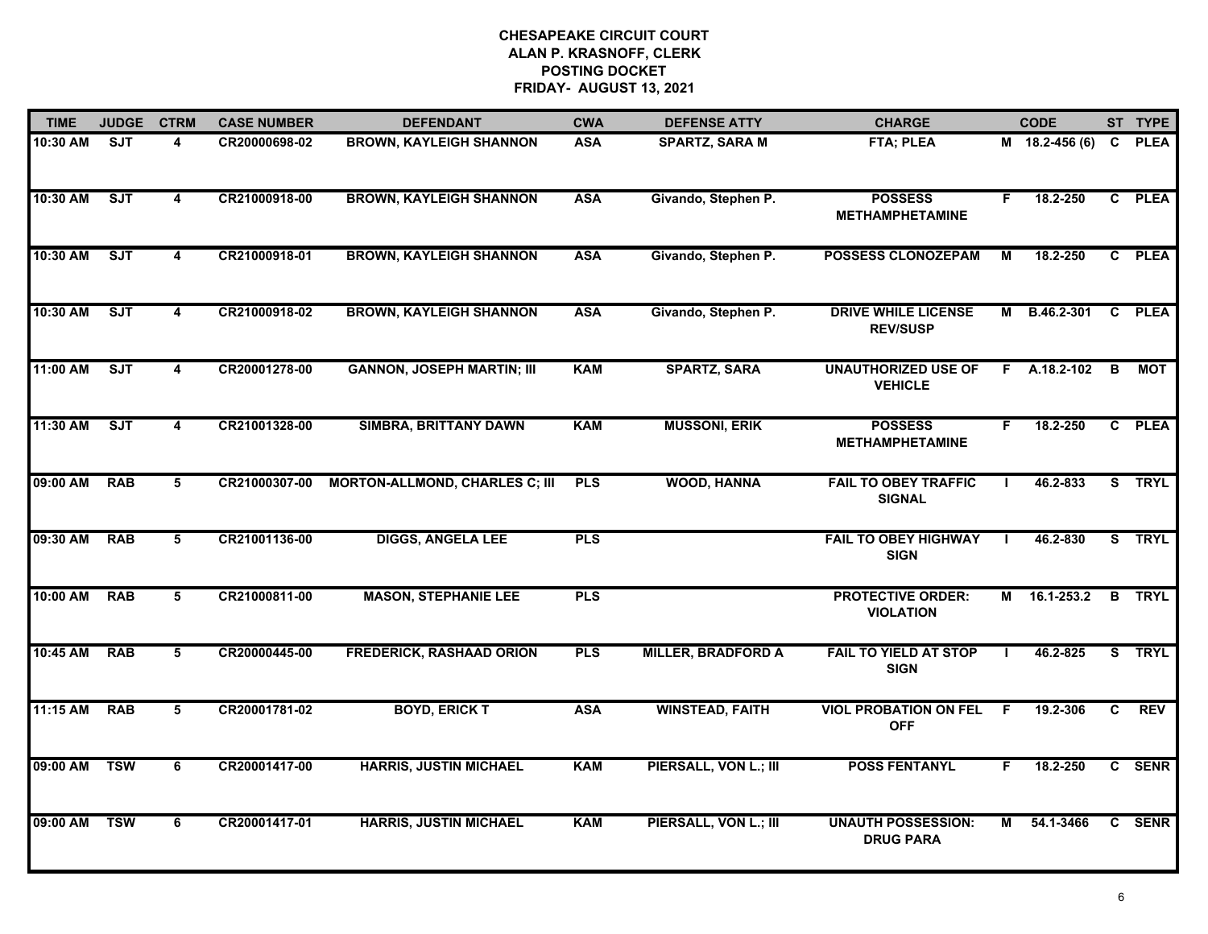| <b>TIME</b> | <b>JUDGE</b> | <b>CTRM</b>             | <b>CASE NUMBER</b> | <b>DEFENDANT</b>                      | <b>CWA</b> | <b>DEFENSE ATTY</b>       | <b>CHARGE</b>                                 |    | <b>CODE</b>      |    | ST TYPE       |
|-------------|--------------|-------------------------|--------------------|---------------------------------------|------------|---------------------------|-----------------------------------------------|----|------------------|----|---------------|
| 10:30 AM    | SJT          | 4                       | CR20000698-02      | <b>BROWN, KAYLEIGH SHANNON</b>        | <b>ASA</b> | <b>SPARTZ, SARA M</b>     | <b>FTA; PLEA</b>                              |    | $M$ 18.2-456 (6) | C. | <b>PLEA</b>   |
| 10:30 AM    | SJT          | $\overline{\mathbf{4}}$ | CR21000918-00      | <b>BROWN, KAYLEIGH SHANNON</b>        | <b>ASA</b> | Givando, Stephen P.       | <b>POSSESS</b><br><b>METHAMPHETAMINE</b>      | F  | 18.2-250         |    | C PLEA        |
| 10:30 AM    | ST           | 4                       | CR21000918-01      | <b>BROWN, KAYLEIGH SHANNON</b>        | <b>ASA</b> | Givando, Stephen P.       | <b>POSSESS CLONOZEPAM</b>                     | М  | 18.2-250         |    | C PLEA        |
| 10:30 AM    | SJT          | 4                       | CR21000918-02      | <b>BROWN, KAYLEIGH SHANNON</b>        | <b>ASA</b> | Givando, Stephen P.       | <b>DRIVE WHILE LICENSE</b><br><b>REV/SUSP</b> | М  | B.46.2-301       |    | C PLEA        |
| 11:00 AM    | ST           | 4                       | CR20001278-00      | <b>GANNON, JOSEPH MARTIN; III</b>     | <b>KAM</b> | <b>SPARTZ, SARA</b>       | <b>UNAUTHORIZED USE OF</b><br><b>VEHICLE</b>  |    | F A.18.2-102     | B  | МОТ           |
| 11:30 AM    | SJT          | $\overline{\mathbf{4}}$ | CR21001328-00      | <b>SIMBRA, BRITTANY DAWN</b>          | <b>KAM</b> | <b>MUSSONI, ERIK</b>      | <b>POSSESS</b><br><b>METHAMPHETAMINE</b>      | F. | 18.2-250         |    | C PLEA        |
| 09:00 AM    | <b>RAB</b>   | 5                       | CR21000307-00      | <b>MORTON-ALLMOND, CHARLES C; III</b> | <b>PLS</b> | <b>WOOD, HANNA</b>        | <b>FAIL TO OBEY TRAFFIC</b><br><b>SIGNAL</b>  |    | 46.2-833         |    | S TRYL        |
| 09:30 AM    | <b>RAB</b>   | $\overline{5}$          | CR21001136-00      | <b>DIGGS, ANGELA LEE</b>              | <b>PLS</b> |                           | <b>FAIL TO OBEY HIGHWAY</b><br><b>SIGN</b>    |    | 46.2-830         |    | S TRYL        |
| 10:00 AM    | <b>RAB</b>   | 5                       | CR21000811-00      | <b>MASON, STEPHANIE LEE</b>           | <b>PLS</b> |                           | <b>PROTECTIVE ORDER:</b><br><b>VIOLATION</b>  | М  | 16.1-253.2       |    | <b>B</b> TRYL |
| 10:45 AM    | <b>RAB</b>   | 5                       | CR20000445-00      | <b>FREDERICK, RASHAAD ORION</b>       | <b>PLS</b> | <b>MILLER, BRADFORD A</b> | <b>FAIL TO YIELD AT STOP</b><br><b>SIGN</b>   |    | 46.2-825         |    | S TRYL        |
| 11:15 AM    | <b>RAB</b>   | 5                       | CR20001781-02      | <b>BOYD, ERICK T</b>                  | <b>ASA</b> | <b>WINSTEAD, FAITH</b>    | <b>VIOL PROBATION ON FEL</b><br><b>OFF</b>    | F. | 19.2-306         | C  | <b>REV</b>    |
| 09:00 AM    | <b>TSW</b>   | 6                       | CR20001417-00      | <b>HARRIS, JUSTIN MICHAEL</b>         | <b>KAM</b> | PIERSALL, VON L.; III     | <b>POSS FENTANYL</b>                          | F. | 18.2-250         |    | C SENR        |
| 09:00 AM    | <b>TSW</b>   | 6                       | CR20001417-01      | <b>HARRIS, JUSTIN MICHAEL</b>         | <b>KAM</b> | PIERSALL, VON L.; III     | <b>UNAUTH POSSESSION:</b><br><b>DRUG PARA</b> | м  | 54.1-3466        |    | C SENR        |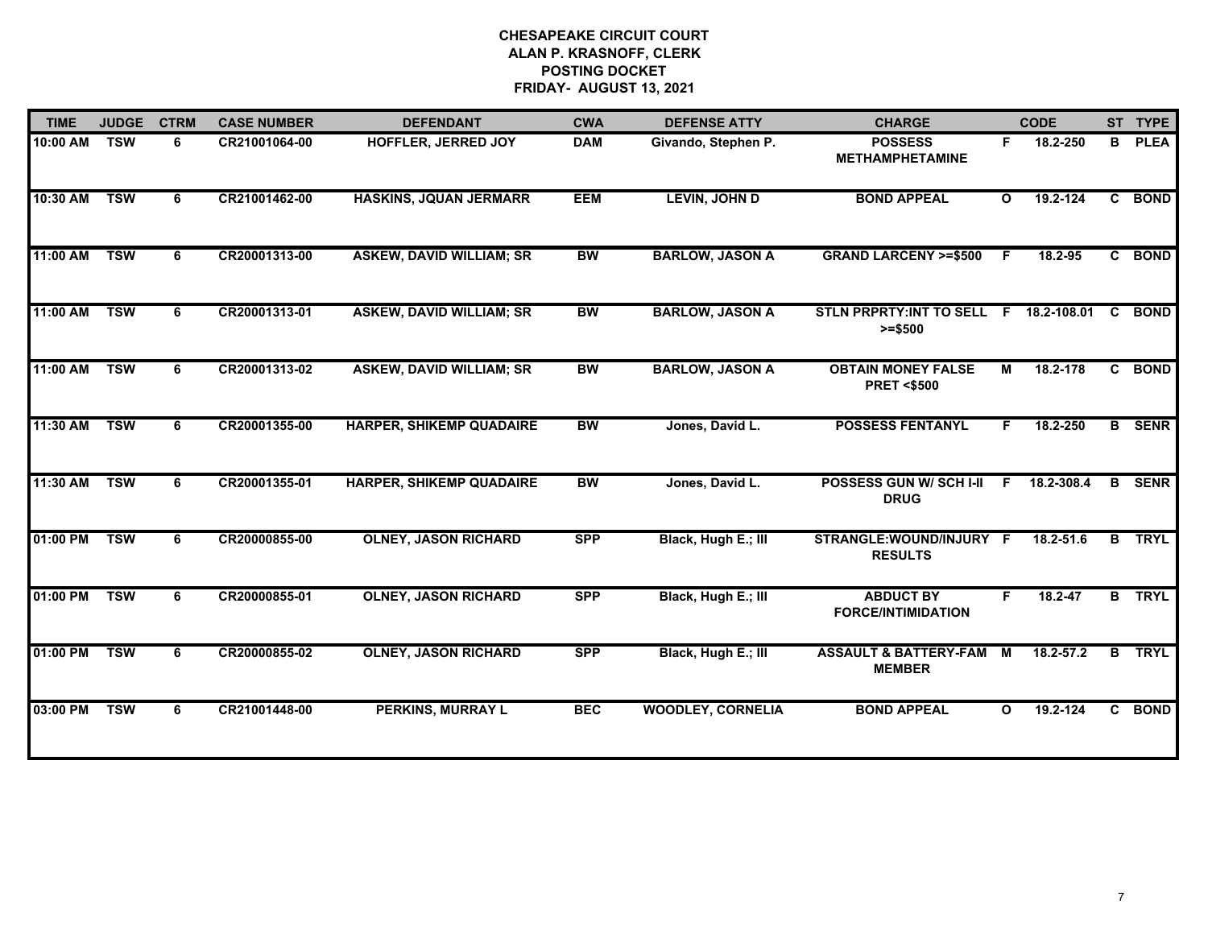| <b>TIME</b> | <b>JUDGE</b> | <b>CTRM</b> | <b>CASE NUMBER</b> | <b>DEFENDANT</b>                | <b>CWA</b> | <b>DEFENSE ATTY</b>      | <b>CHARGE</b>                                      |                | <b>CODE</b>   |                | ST TYPE       |
|-------------|--------------|-------------|--------------------|---------------------------------|------------|--------------------------|----------------------------------------------------|----------------|---------------|----------------|---------------|
| 10:00 AM    | <b>TSW</b>   | 6           | CR21001064-00      | <b>HOFFLER, JERRED JOY</b>      | <b>DAM</b> | Givando, Stephen P.      | <b>POSSESS</b><br><b>METHAMPHETAMINE</b>           | F.             | 18.2-250      | B              | <b>PLEA</b>   |
| 10:30 AM    | <b>TSW</b>   | 6           | CR21001462-00      | <b>HASKINS, JQUAN JERMARR</b>   | <b>EEM</b> | <b>LEVIN, JOHN D</b>     | <b>BOND APPEAL</b>                                 | O              | 19.2-124      | C.             | <b>BOND</b>   |
| 11:00 AM    | <b>TSW</b>   | 6           | CR20001313-00      | <b>ASKEW, DAVID WILLIAM; SR</b> | <b>BW</b>  | <b>BARLOW, JASON A</b>   | <b>GRAND LARCENY &gt;=\$500</b>                    | $\overline{F}$ | 18.2-95       | C              | <b>BOND</b>   |
| 11:00 AM    | <b>TSW</b>   | 6           | CR20001313-01      | <b>ASKEW, DAVID WILLIAM; SR</b> | <b>BW</b>  | <b>BARLOW, JASON A</b>   | STLN PRPRTY:INT TO SELL F 18.2-108.01<br>$>= $500$ |                |               | <b>C</b>       | <b>BOND</b>   |
| 11:00 AM    | <b>TSW</b>   | 6           | CR20001313-02      | <b>ASKEW, DAVID WILLIAM; SR</b> | <b>BW</b>  | <b>BARLOW, JASON A</b>   | <b>OBTAIN MONEY FALSE</b><br><b>PRET &lt;\$500</b> | M              | 18.2-178      | C.             | <b>BOND</b>   |
| 11:30 AM    | <b>TSW</b>   | 6           | CR20001355-00      | <b>HARPER, SHIKEMP QUADAIRE</b> | <b>BW</b>  | Jones, David L.          | <b>POSSESS FENTANYL</b>                            |                | 18.2-250      |                | <b>B</b> SENR |
| 11:30 AM    | <b>TSW</b>   | 6           | CR20001355-01      | <b>HARPER, SHIKEMP QUADAIRE</b> | <b>BW</b>  | Jones, David L.          | <b>POSSESS GUN W/ SCH I-II</b><br><b>DRUG</b>      | F              | 18.2-308.4    | в              | <b>SENR</b>   |
| 01:00 PM    | <b>TSW</b>   | 6           | CR20000855-00      | <b>OLNEY, JASON RICHARD</b>     | <b>SPP</b> | Black, Hugh E.; III      | STRANGLE: WOUND/INJURY F<br><b>RESULTS</b>         |                | 18.2-51.6     | $\overline{B}$ | <b>TRYL</b>   |
| 01:00 PM    | <b>TSW</b>   | 6           | CR20000855-01      | <b>OLNEY, JASON RICHARD</b>     | <b>SPP</b> | Black, Hugh E.; III      | <b>ABDUCT BY</b><br><b>FORCE/INTIMIDATION</b>      | F.             | $18.2 - 47$   | $\overline{B}$ | <b>TRYL</b>   |
| 01:00 PM    | <b>TSW</b>   | 6           | CR20000855-02      | <b>OLNEY, JASON RICHARD</b>     | <b>SPP</b> | Black, Hugh E.; III      | <b>ASSAULT &amp; BATTERY-FAM</b><br><b>MEMBER</b>  | M              | $18.2 - 57.2$ | B              | <b>TRYL</b>   |
| 03:00 PM    | <b>TSW</b>   | 6           | CR21001448-00      | <b>PERKINS, MURRAY L</b>        | <b>BEC</b> | <b>WOODLEY, CORNELIA</b> | <b>BOND APPEAL</b>                                 | $\Omega$       | 19.2-124      | C.             | <b>BOND</b>   |